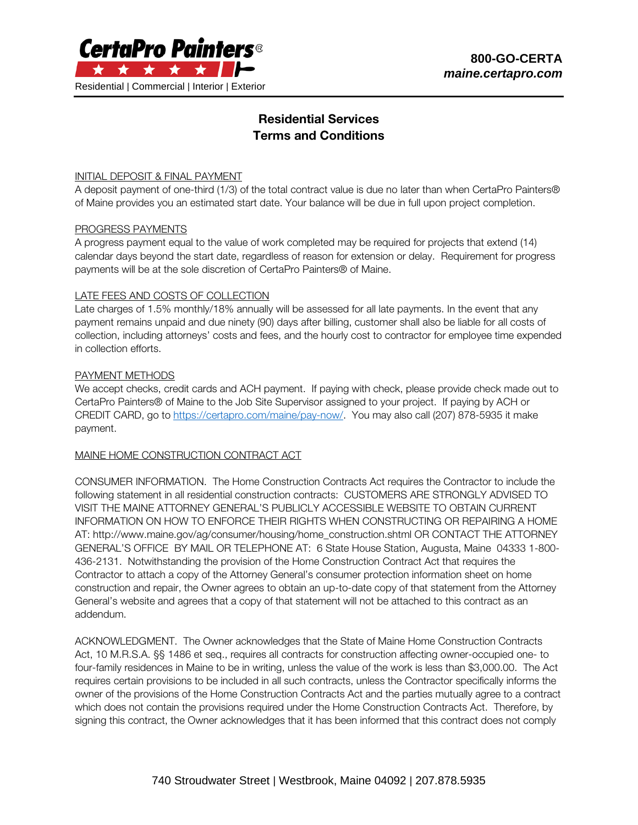

# Residential Services Terms and Conditions

### INITIAL DEPOSIT & FINAL PAYMENT

A deposit payment of one-third (1/3) of the total contract value is due no later than when CertaPro Painters® of Maine provides you an estimated start date. Your balance will be due in full upon project completion.

#### PROGRESS PAYMENTS

A progress payment equal to the value of work completed may be required for projects that extend (14) calendar days beyond the start date, regardless of reason for extension or delay. Requirement for progress payments will be at the sole discretion of CertaPro Painters® of Maine.

#### LATE FEES AND COSTS OF COLLECTION

Late charges of 1.5% monthly/18% annually will be assessed for all late payments. In the event that any payment remains unpaid and due ninety (90) days after billing, customer shall also be liable for all costs of collection, including attorneys' costs and fees, and the hourly cost to contractor for employee time expended in collection efforts.

#### PAYMENT METHODS

We accept checks, credit cards and ACH payment. If paying with check, please provide check made out to CertaPro Painters® of Maine to the Job Site Supervisor assigned to your project. If paying by ACH or CREDIT CARD, go to [https://certapro.com/maine/pay-now/.](https://certapro.com/maine/pay-now/) You may also call (207) 878-5935 it make payment.

## MAINE HOME CONSTRUCTION CONTRACT ACT

CONSUMER INFORMATION. The Home Construction Contracts Act requires the Contractor to include the following statement in all residential construction contracts: CUSTOMERS ARE STRONGLY ADVISED TO VISIT THE MAINE ATTORNEY GENERAL'S PUBLICLY ACCESSIBLE WEBSITE TO OBTAIN CURRENT INFORMATION ON HOW TO ENFORCE THEIR RIGHTS WHEN CONSTRUCTING OR REPAIRING A HOME AT: http://www.maine.gov/ag/consumer/housing/home\_construction.shtml OR CONTACT THE ATTORNEY GENERAL'S OFFICE BY MAIL OR TELEPHONE AT: 6 State House Station, Augusta, Maine 04333 1-800- 436-2131. Notwithstanding the provision of the Home Construction Contract Act that requires the Contractor to attach a copy of the Attorney General's consumer protection information sheet on home construction and repair, the Owner agrees to obtain an up-to-date copy of that statement from the Attorney General's website and agrees that a copy of that statement will not be attached to this contract as an addendum.

ACKNOWLEDGMENT. The Owner acknowledges that the State of Maine Home Construction Contracts Act, 10 M.R.S.A. §§ 1486 et seq., requires all contracts for construction affecting owner-occupied one- to four-family residences in Maine to be in writing, unless the value of the work is less than \$3,000.00. The Act requires certain provisions to be included in all such contracts, unless the Contractor specifically informs the owner of the provisions of the Home Construction Contracts Act and the parties mutually agree to a contract which does not contain the provisions required under the Home Construction Contracts Act. Therefore, by signing this contract, the Owner acknowledges that it has been informed that this contract does not comply